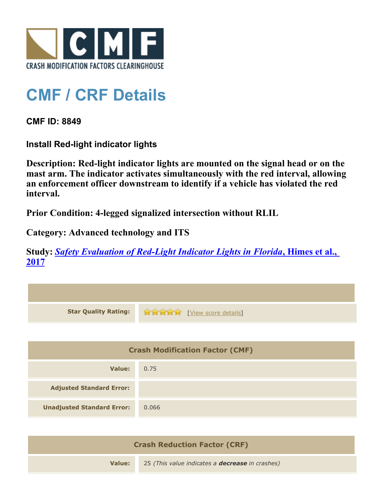

## **CMF / CRF Details**

**CMF ID: 8849**

**Install Red-light indicator lights**

**Description: Red-light indicator lights are mounted on the signal head or on the mast arm. The indicator activates simultaneously with the red interval, allowing an enforcement officer downstream to identify if a vehicle has violated the red interval.**

**Prior Condition: 4-legged signalized intersection without RLIL**

**Category: Advanced technology and ITS**

**Study:** *[Safety Evaluation of Red-Light Indicator Lights in Florida](http://www.cmfclearinghouse.org/study_detail.cfm?stid=483)***[, Himes et al.,](http://www.cmfclearinghouse.org/study_detail.cfm?stid=483) [2017](http://www.cmfclearinghouse.org/study_detail.cfm?stid=483)**

| <b>Star Quality Rating:</b>            | <b>THE EXAMPLE EXAMPLE IN THE EXAMPLE OF STATISTIC</b> |  |
|----------------------------------------|--------------------------------------------------------|--|
|                                        |                                                        |  |
| <b>Crash Modification Factor (CMF)</b> |                                                        |  |
| <b>Value:</b>                          | 0.75                                                   |  |
| <b>Adjusted Standard Error:</b>        |                                                        |  |
| <b>Unadjusted Standard Error:</b>      | 0.066                                                  |  |
|                                        |                                                        |  |

| <b>Crash Reduction Factor (CRF)</b> |                                                        |
|-------------------------------------|--------------------------------------------------------|
| Value:                              | 25 (This value indicates a <b>decrease</b> in crashes) |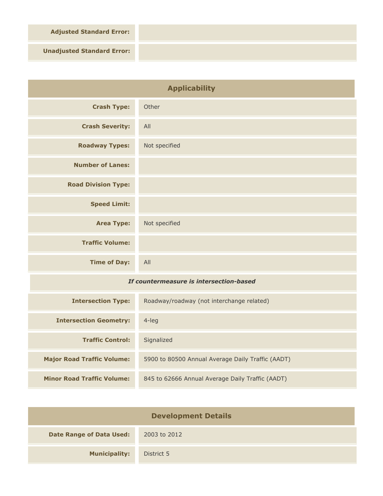**Adjusted Standard Error:**

**Unadjusted Standard Error:**

| <b>Applicability</b>                    |                                                   |
|-----------------------------------------|---------------------------------------------------|
| <b>Crash Type:</b>                      | Other                                             |
| <b>Crash Severity:</b>                  | All                                               |
| <b>Roadway Types:</b>                   | Not specified                                     |
| <b>Number of Lanes:</b>                 |                                                   |
| <b>Road Division Type:</b>              |                                                   |
| <b>Speed Limit:</b>                     |                                                   |
| <b>Area Type:</b>                       | Not specified                                     |
| <b>Traffic Volume:</b>                  |                                                   |
| <b>Time of Day:</b>                     | All                                               |
| If countermeasure is intersection-based |                                                   |
| <b>Intersection Type:</b>               | Roadway/roadway (not interchange related)         |
| <b>Intersection Geometry:</b>           | 4-leg                                             |
| <b>Traffic Control:</b>                 | Signalized                                        |
| <b>Major Road Traffic Volume:</b>       | 5900 to 80500 Annual Average Daily Traffic (AADT) |

| <b>Development Details</b>      |              |  |
|---------------------------------|--------------|--|
| <b>Date Range of Data Used:</b> | 2003 to 2012 |  |
| <b>Municipality:</b>            | District 5   |  |

**Minor Road Traffic Volume:** 845 to 62666 Annual Average Daily Traffic (AADT)